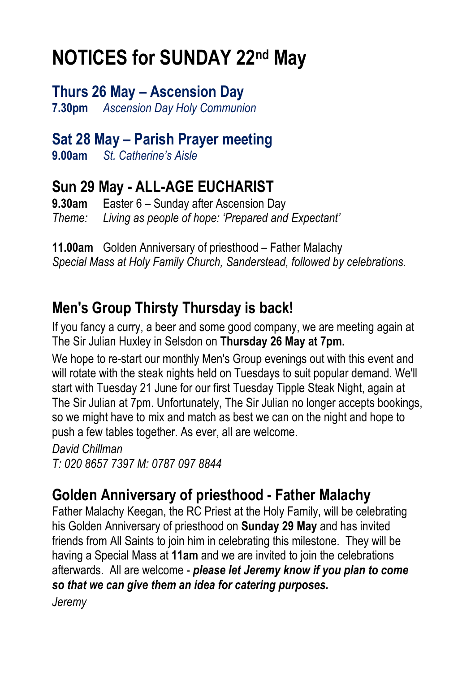## **NOTICES for SUNDAY 22nd May**

**Thurs 26 May – Ascension Day 7.30pm** *Ascension Day Holy Communion*

#### **Sat 28 May – Parish Prayer meeting**

**9.00am** *St. Catherine's Aisle*

### **Sun 29 May - ALL-AGE EUCHARIST**

**9.30am** Easter 6 – Sunday after Ascension Day *Theme: Living as people of hope: 'Prepared and Expectant'*

**11.00am** Golden Anniversary of priesthood – Father Malachy *Special Mass at Holy Family Church, Sanderstead, followed by celebrations.*

#### **Men's Group Thirsty Thursday is back!**

If you fancy a curry, a beer and some good company, we are meeting again at The Sir Julian Huxley in Selsdon on **Thursday 26 May at 7pm.**

We hope to re-start our monthly Men's Group evenings out with this event and will rotate with the steak nights held on Tuesdays to suit popular demand. We'll start with Tuesday 21 June for our first Tuesday Tipple Steak Night, again at The Sir Julian at 7pm. Unfortunately, The Sir Julian no longer accepts bookings, so we might have to mix and match as best we can on the night and hope to push a few tables together. As ever, all are welcome.

*David Chillman T: 020 8657 7397 M: 0787 097 8844*

#### **Golden Anniversary of priesthood - Father Malachy**

Father Malachy Keegan, the RC Priest at the Holy Family, will be celebrating his Golden Anniversary of priesthood on **Sunday 29 May** and has invited friends from All Saints to join him in celebrating this milestone. They will be having a Special Mass at **11am** and we are invited to join the celebrations afterwards. All are welcome - *please let Jeremy know if you plan to come so that we can give them an idea for catering purposes.*

*Jeremy*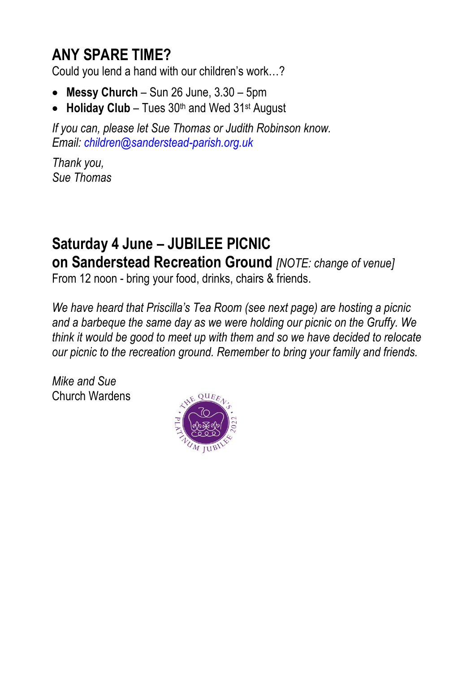#### **ANY SPARE TIME?**

Could you lend a hand with our children's work…?

- **Messy Church** Sun 26 June, 3.30 5pm
- **Holiday Club** Tues 30<sup>th</sup> and Wed 31<sup>st</sup> August

*If you can, please let Sue Thomas or Judith Robinson know. Email: [children@sanderstead-parish.org.uk](mailto:children@sanderstead-parish.org.uk)*

*Thank you, Sue Thomas*

## **Saturday 4 June – JUBILEE PICNIC on Sanderstead Recreation Ground** *[NOTE: change of venue]*

From 12 noon - bring your food, drinks, chairs & friends.

*We have heard that Priscilla's Tea Room (see next page) are hosting a picnic and a barbeque the same day as we were holding our picnic on the Gruffy. We think it would be good to meet up with them and so we have decided to relocate our picnic to the recreation ground. Remember to bring your family and friends.*

*Mike and Sue* Church Wardens

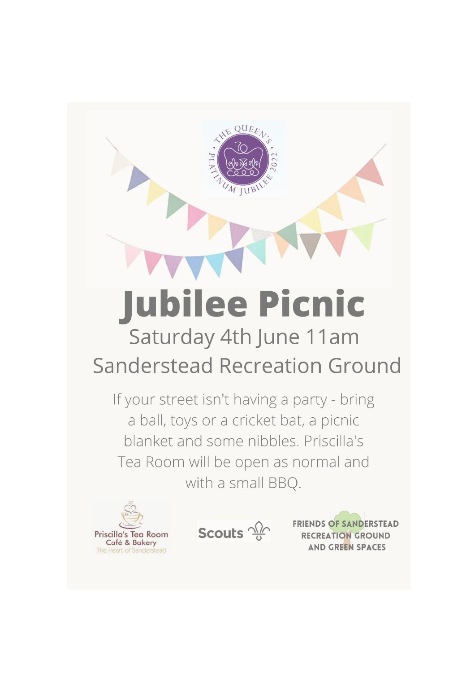# **Jubilee Picnic** Saturday 4th June 11am

 $QUEE_A$ 

# **Sanderstead Recreation Ground**

If your street isn't having a party - bring a ball, toys or a cricket bat, a picnic blanket and some nibbles. Priscilla's Tea Room will be open as normal and with a small BBQ.





**FRIENDS OF SANDERSTEAD RECREATION GROUND AND GREEN SPACES**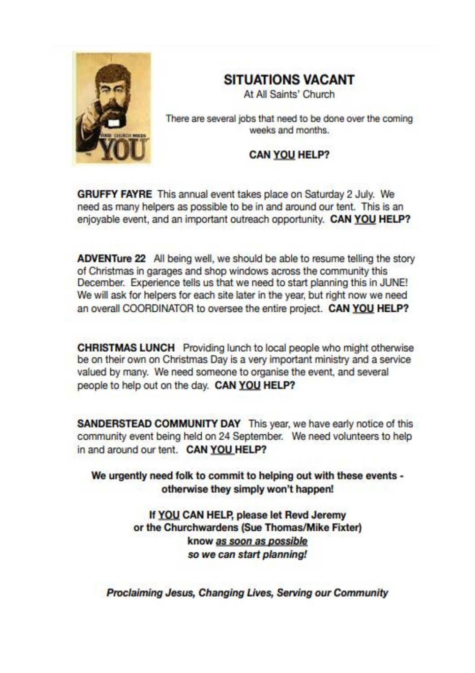

#### **SITUATIONS VACANT**

At All Saints' Church

There are several jobs that need to be done over the coming weeks and months.

#### **CAN YOU HELP?**

**GRUFFY FAYRE** This annual event takes place on Saturday 2 July. We need as many helpers as possible to be in and around our tent. This is an enjovable event, and an important outreach opportunity. CAN YOU HELP?

ADVENTure 22 All being well, we should be able to resume telling the story of Christmas in garages and shop windows across the community this December. Experience tells us that we need to start planning this in JUNE! We will ask for helpers for each site later in the year, but right now we need an overall COORDINATOR to oversee the entire project. CAN YOU HELP?

**CHRISTMAS LUNCH** Providing lunch to local people who might otherwise be on their own on Christmas Day is a very important ministry and a service valued by many. We need someone to organise the event, and several people to help out on the day. CAN YOU HELP?

**SANDERSTEAD COMMUNITY DAY** This year, we have early notice of this community event being held on 24 September. We need volunteers to help in and around our tent. CAN YOU HELP?

We urgently need folk to commit to helping out with these events otherwise they simply won't happen!

> If YOU CAN HELP, please let Revd Jeremy or the Churchwardens (Sue Thomas/Mike Fixter) know as soon as possible so we can start planning!

Proclaiming Jesus, Changing Lives, Serving our Community